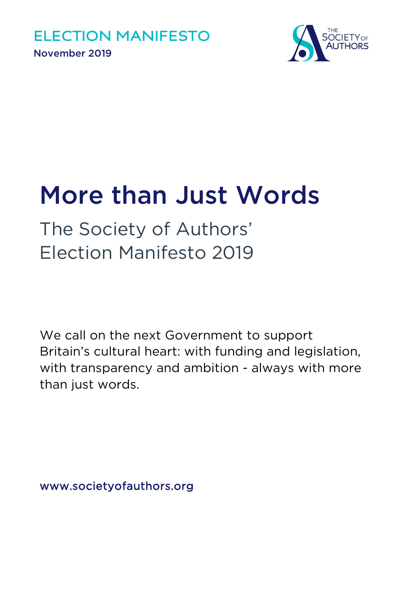

# More than Just Words

The Society of Authors' Election Manifesto 2019

We call on the next Government to support Britain's cultural heart: with funding and legislation, with transparency and ambition - always with more than just words.

www.societyofauthors.org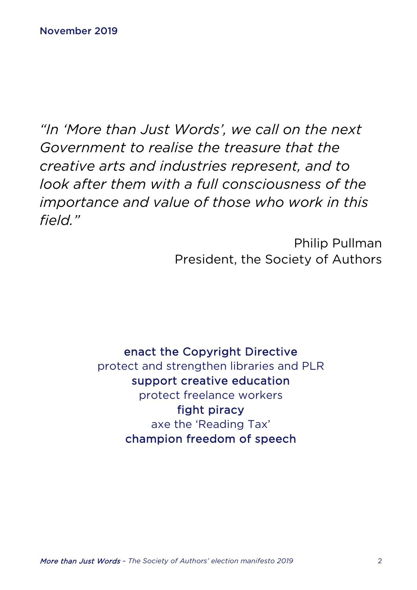*"In 'More than Just Words', we call on the next Government to realise the treasure that the creative arts and industries represent, and to look after them with a full consciousness of the importance and value of those who work in this field."*

> Philip Pullman President, the Society of Authors

enact the Copyright Directive protect and strengthen libraries and PLR support creative education protect freelance workers fight piracy axe the 'Reading Tax' champion freedom of speech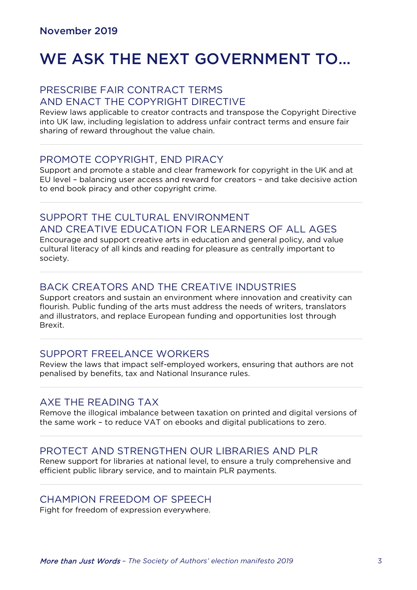# WE ASK THE NEXT GOVERNMENT TO…

#### PRESCRIBE FAIR CONTRACT TERMS AND ENACT THE COPYRIGHT DIRECTIVE

Review laws applicable to creator contracts and transpose the Copyright Directive into UK law, including legislation to address unfair contract terms and ensure fair sharing of reward throughout the value chain.

#### PROMOTE COPYRIGHT, END PIRACY

Support and promote a stable and clear framework for copyright in the UK and at EU level – balancing user access and reward for creators – and take decisive action to end book piracy and other copyright crime.

#### SUPPORT THE CULTURAL ENVIRONMENT AND CREATIVE EDUCATION FOR LEARNERS OF ALL AGES

Encourage and support creative arts in education and general policy, and value cultural literacy of all kinds and reading for pleasure as centrally important to society.

#### BACK CREATORS AND THE CREATIVE INDUSTRIES

Support creators and sustain an environment where innovation and creativity can flourish. Public funding of the arts must address the needs of writers, translators and illustrators, and replace European funding and opportunities lost through Brexit.

#### SUPPORT FREELANCE WORKERS

Review the laws that impact self-employed workers, ensuring that authors are not penalised by benefits, tax and National Insurance rules.

#### AXE THE READING TAX

Remove the illogical imbalance between taxation on printed and digital versions of the same work – to reduce VAT on ebooks and digital publications to zero.

#### PROTECT AND STRENGTHEN OUR LIBRARIES AND PLR

Renew support for libraries at national level, to ensure a truly comprehensive and efficient public library service, and to maintain PLR payments.

#### CHAMPION FREEDOM OF SPEECH

Fight for freedom of expression everywhere.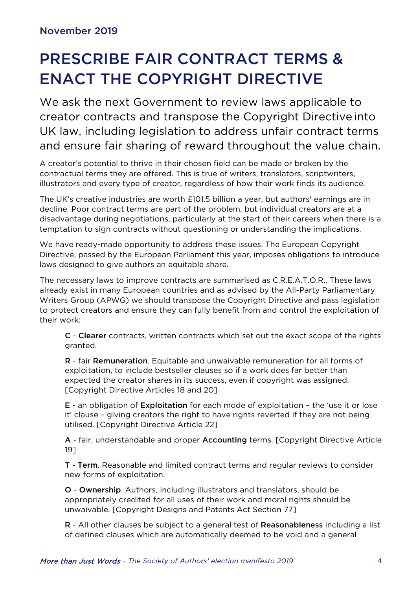# PRESCRIBE FAIR CONTRACT TERMS & ENACT THE COPYRIGHT DIRECTIVE

We ask the next Government to review laws applicable to creator contracts and transpose the Copyright Directive into UK law, including legislation to address unfair contract terms and ensure fair sharing of reward throughout the value chain.

A creator's potential to thrive in their chosen field can be made or broken by the contractual terms they are offered. This is true of writers, translators, scriptwriters, illustrators and every type of creator, regardless of how their work finds its audience.

The UK's creative industries are worth £101.5 billion a year, but authors' earnings are in decline. Poor contract terms are part of the problem, but individual creators are at a disadvantage during negotiations, particularly at the start of their careers when there is a temptation to sign contracts without questioning or understanding the implications.

We have ready-made opportunity to address these issues. The European Copyright Directive, passed by the European Parliament this year, imposes obligations to introduce laws designed to give authors an equitable share.

The necessary laws to improve contracts are summarised as C.R.E.A.T.O.R.. These laws already exist in many European countries and as advised by the All-Party Parliamentary Writers Group (APWG) we should transpose the Copyright Directive and pass legislation to protect creators and ensure they can fully benefit from and control the exploitation of their work:

C - Clearer contracts, written contracts which set out the exact scope of the rights granted.

R - fair Remuneration. Equitable and unwaivable remuneration for all forms of exploitation, to include bestseller clauses so if a work does far better than expected the creator shares in its success, even if copyright was assigned. [Copyright Directive Articles 18 and 20]

E - an obligation of Exploitation for each mode of exploitation – the 'use it or lose it' clause – giving creators the right to have rights reverted if they are not being utilised. [Copyright Directive Article 22]

A - fair, understandable and proper Accounting terms. [Copyright Directive Article 19]

T - Term. Reasonable and limited contract terms and regular reviews to consider new forms of exploitation.

O - Ownership. Authors, including illustrators and translators, should be appropriately credited for all uses of their work and moral rights should be unwaivable. [Copyright Designs and Patents Act Section 77]

R - All other clauses be subject to a general test of Reasonableness including a list of defined clauses which are automatically deemed to be void and a general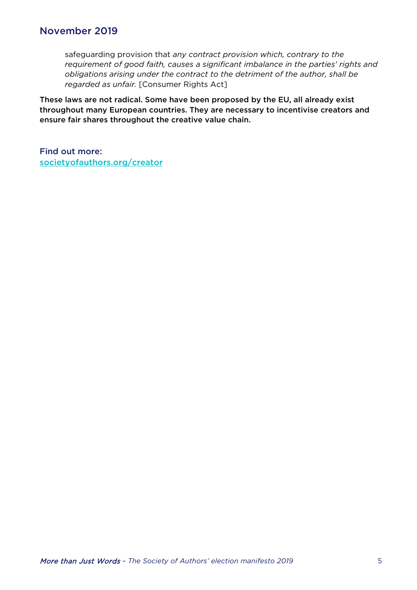safeguarding provision that *any contract provision which, contrary to the requirement of good faith, causes a significant imbalance in the parties' rights and obligations arising under the contract to the detriment of the author, shall be regarded as unfair.* [Consumer Rights Act]

These laws are not radical. Some have been proposed by the EU, all already exist throughout many European countries. They are necessary to incentivise creators and ensure fair shares throughout the creative value chain.

Find out more: [societyofauthors.org/creator](http://www.societyofauthors.org/Where-We-Stand/C-R-E-A-T-O-R-Campaign-for-Fair-Contracts)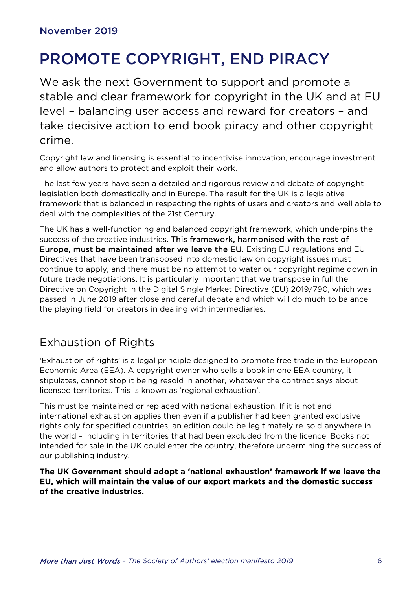# PROMOTE COPYRIGHT, END PIRACY

We ask the next Government to support and promote a stable and clear framework for copyright in the UK and at EU level – balancing user access and reward for creators – and take decisive action to end book piracy and other copyright crime.

Copyright law and licensing is essential to incentivise innovation, encourage investment and allow authors to protect and exploit their work.

The last few years have seen a detailed and rigorous review and debate of copyright legislation both domestically and in Europe. The result for the UK is a legislative framework that is balanced in respecting the rights of users and creators and well able to deal with the complexities of the 21st Century.

The UK has a well-functioning and balanced copyright framework, which underpins the success of the creative industries. This framework, harmonised with the rest of Europe, must be maintained after we leave the EU. Existing EU regulations and EU Directives that have been transposed into domestic law on copyright issues must continue to apply, and there must be no attempt to water our copyright regime down in future trade negotiations. It is particularly important that we transpose in full the Directive on Copyright in the Digital Single Market Directive (EU) 2019/790, which was passed in June 2019 after close and careful debate and which will do much to balance the playing field for creators in dealing with intermediaries.

### Exhaustion of Rights

'Exhaustion of rights' is a legal principle designed to promote free trade in the European Economic Area (EEA). A copyright owner who sells a book in one EEA country, it stipulates, cannot stop it being resold in another, whatever the contract says about licensed territories. This is known as 'regional exhaustion'.

This must be maintained or replaced with national exhaustion. If it is not and international exhaustion applies then even if a publisher had been granted exclusive rights only for specified countries, an edition could be legitimately re-sold anywhere in the world – including in territories that had been excluded from the licence. Books not intended for sale in the UK could enter the country, therefore undermining the success of our publishing industry.

The UK Government should adopt a 'national exhaustion' framework if we leave the EU, which will maintain the value of our export markets and the domestic success of the creative industries.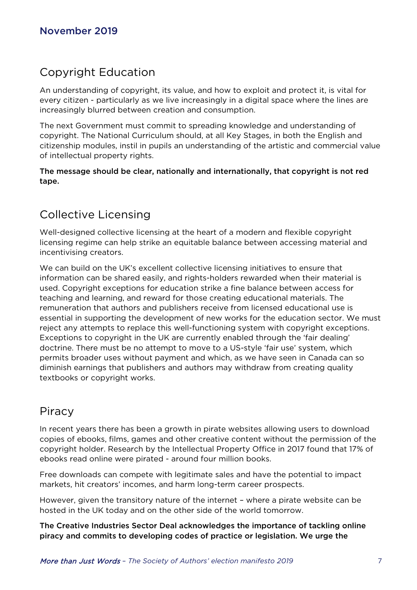### Copyright Education

An understanding of copyright, its value, and how to exploit and protect it, is vital for every citizen - particularly as we live increasingly in a digital space where the lines are increasingly blurred between creation and consumption.

The next Government must commit to spreading knowledge and understanding of copyright. The National Curriculum should, at all Key Stages, in both the English and citizenship modules, instil in pupils an understanding of the artistic and commercial value of intellectual property rights.

The message should be clear, nationally and internationally, that copyright is not red tape.

## Collective Licensing

Well-designed collective licensing at the heart of a modern and flexible copyright licensing regime can help strike an equitable balance between accessing material and incentivising creators.

We can build on the UK's excellent collective licensing initiatives to ensure that information can be shared easily, and rights-holders rewarded when their material is used. Copyright exceptions for education strike a fine balance between access for teaching and learning, and reward for those creating educational materials. The remuneration that authors and publishers receive from licensed educational use is essential in supporting the development of new works for the education sector. We must reject any attempts to replace this well-functioning system with copyright exceptions. Exceptions to copyright in the UK are currently enabled through the 'fair dealing' doctrine. There must be no attempt to move to a US-style 'fair use' system, which permits broader uses without payment and which, as we have seen in Canada can so diminish earnings that publishers and authors may withdraw from creating quality textbooks or copyright works.

#### Piracy

In recent years there has been a growth in pirate websites allowing users to download copies of ebooks, films, games and other creative content without the permission of the copyright holder. Research by the Intellectual Property Office in 2017 found that 17% of ebooks read online were pirated - around four million books.

Free downloads can compete with legitimate sales and have the potential to impact markets, hit creators' incomes, and harm long-term career prospects.

However, given the transitory nature of the internet – where a pirate website can be hosted in the UK today and on the other side of the world tomorrow.

The Creative Industries Sector Deal acknowledges the importance of tackling online piracy and commits to developing codes of practice or legislation. We urge the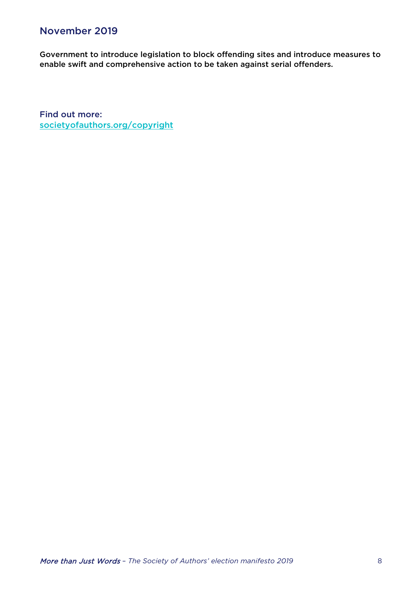Government to introduce legislation to block offending sites and introduce measures to enable swift and comprehensive action to be taken against serial offenders.

Find out more: [societyofauthors.org/copyright](http://www.societyofauthors.org/Where-We-Stand/Copyright)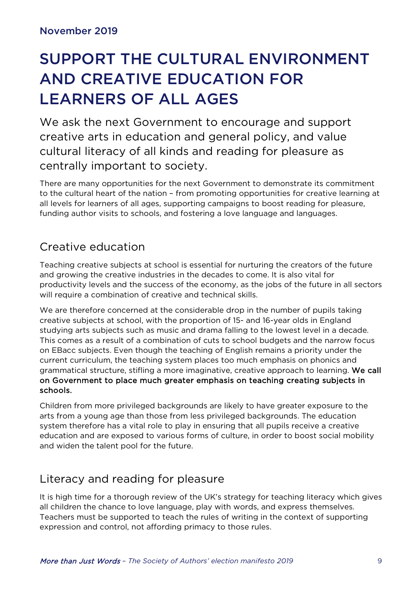# SUPPORT THE CULTURAL ENVIRONMENT AND CREATIVE EDUCATION FOR LEARNERS OF ALL AGES

We ask the next Government to encourage and support creative arts in education and general policy, and value cultural literacy of all kinds and reading for pleasure as centrally important to society.

There are many opportunities for the next Government to demonstrate its commitment to the cultural heart of the nation – from promoting opportunities for creative learning at all levels for learners of all ages, supporting campaigns to boost reading for pleasure, funding author visits to schools, and fostering a love language and languages.

## Creative education

Teaching creative subjects at school is essential for nurturing the creators of the future and growing the creative industries in the decades to come. It is also vital for productivity levels and the success of the economy, as the jobs of the future in all sectors will require a combination of creative and technical skills.

We are therefore concerned at the considerable drop in the number of pupils taking creative subjects at school, with the proportion of 15- and 16-year olds in England studying arts subjects such as music and drama falling to the lowest level in a decade. This comes as a result of a combination of cuts to school budgets and the narrow focus on EBacc subjects. Even though the teaching of English remains a priority under the current curriculum, the teaching system places too much emphasis on phonics and grammatical structure, stifling a more imaginative, creative approach to learning. We call on Government to place much greater emphasis on teaching creating subjects in schools.

Children from more privileged backgrounds are likely to have greater exposure to the arts from a young age than those from less privileged backgrounds. The education system therefore has a vital role to play in ensuring that all pupils receive a creative education and are exposed to various forms of culture, in order to boost social mobility and widen the talent pool for the future.

# Literacy and reading for pleasure

It is high time for a thorough review of the UK's strategy for teaching literacy which gives all children the chance to love language, play with words, and express themselves. Teachers must be supported to teach the rules of writing in the context of supporting expression and control, not affording primacy to those rules.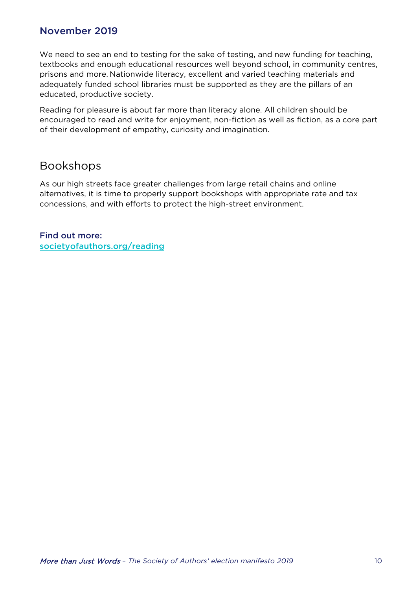We need to see an end to testing for the sake of testing, and new funding for teaching, textbooks and enough educational resources well beyond school, in community centres, prisons and more. Nationwide literacy, excellent and varied teaching materials and adequately funded school libraries must be supported as they are the pillars of an educated, productive society.

Reading for pleasure is about far more than literacy alone. All children should be encouraged to read and write for enjoyment, non-fiction as well as fiction, as a core part of their development of empathy, curiosity and imagination.

#### Bookshops

As our high streets face greater challenges from large retail chains and online alternatives, it is time to properly support bookshops with appropriate rate and tax concessions, and with efforts to protect the high-street environment.

Find out more: [societyofauthors.org/reading](http://www.societyofauthors.org/Where-We-Stand/Fair-reading/Reading-cultural-environment)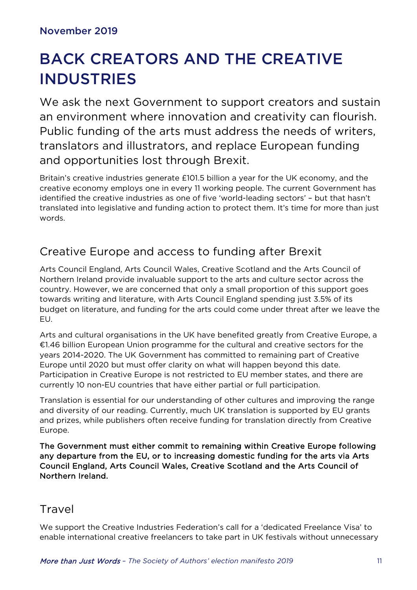# BACK CREATORS AND THE CREATIVE INDUSTRIES

We ask the next Government to support creators and sustain an environment where innovation and creativity can flourish. Public funding of the arts must address the needs of writers, translators and illustrators, and replace European funding and opportunities lost through Brexit.

Britain's creative industries generate £101.5 billion a year for the UK economy, and the creative economy employs one in every 11 working people. The current Government has identified the creative industries as one of five 'world-leading sectors' – but that hasn't translated into legislative and funding action to protect them. It's time for more than just words.

# Creative Europe and access to funding after Brexit

Arts Council England, Arts Council Wales, Creative Scotland and the Arts Council of Northern Ireland provide invaluable support to the arts and culture sector across the country. However, we are concerned that only a small proportion of this support goes towards writing and literature, with Arts Council England spending just 3.5% of its budget on literature, and funding for the arts could come under threat after we leave the EU.

Arts and cultural organisations in the UK have benefited greatly from Creative Europe, a €1.46 billion European Union programme for the cultural and creative sectors for the years 2014-2020. The UK Government has committed to remaining part of Creative Europe until 2020 but must offer clarity on what will happen beyond this date. Participation in Creative Europe is not restricted to EU member states, and there are currently 10 non-EU countries that have either partial or full participation.

Translation is essential for our understanding of other cultures and improving the range and diversity of our reading. Currently, much UK translation is supported by EU grants and prizes, while publishers often receive funding for translation directly from Creative Europe.

The Government must either commit to remaining within Creative Europe following any departure from the EU, or to increasing domestic funding for the arts via Arts Council England, Arts Council Wales, Creative Scotland and the Arts Council of Northern Ireland.

#### Travel

We support the Creative Industries Federation's call for a 'dedicated Freelance Visa' to enable international creative freelancers to take part in UK festivals without unnecessary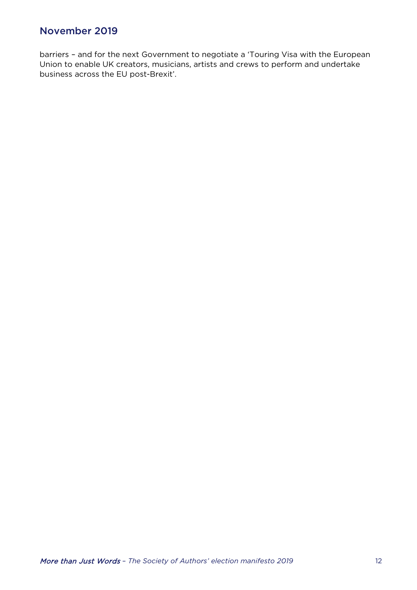barriers – and for the next Government to negotiate a 'Touring Visa with the European Union to enable UK creators, musicians, artists and crews to perform and undertake business across the EU post-Brexit'.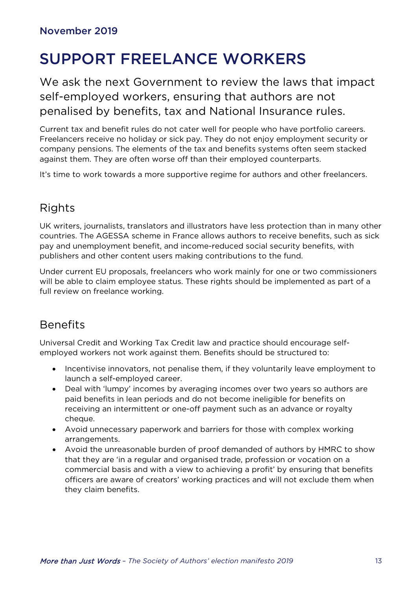# SUPPORT FREELANCE WORKERS

We ask the next Government to review the laws that impact self-employed workers, ensuring that authors are not penalised by benefits, tax and National Insurance rules.

Current tax and benefit rules do not cater well for people who have portfolio careers. Freelancers receive no holiday or sick pay. They do not enjoy employment security or company pensions. The elements of the tax and benefits systems often seem stacked against them. They are often worse off than their employed counterparts.

It's time to work towards a more supportive regime for authors and other freelancers.

# **Rights**

UK writers, journalists, translators and illustrators have less protection than in many other countries. The AGESSA scheme in France allows authors to receive benefits, such as sick pay and unemployment benefit, and income-reduced social security benefits, with publishers and other content users making contributions to the fund.

Under current EU proposals, freelancers who work mainly for one or two commissioners will be able to claim employee status. These rights should be implemented as part of a full review on freelance working.

### Benefits

Universal Credit and Working Tax Credit law and practice should encourage selfemployed workers not work against them. Benefits should be structured to:

- Incentivise innovators, not penalise them, if they voluntarily leave employment to launch a self-employed career.
- Deal with 'lumpy' incomes by averaging incomes over two years so authors are paid benefits in lean periods and do not become ineligible for benefits on receiving an intermittent or one-off payment such as an advance or royalty cheque.
- Avoid unnecessary paperwork and barriers for those with complex working arrangements.
- Avoid the unreasonable burden of proof demanded of authors by HMRC to show that they are 'in a regular and organised trade, profession or vocation on a commercial basis and with a view to achieving a profit' by ensuring that benefits officers are aware of creators' working practices and will not exclude them when they claim benefits.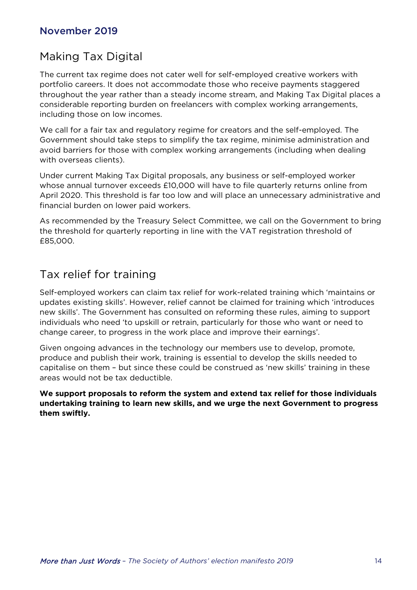### Making Tax Digital

The current tax regime does not cater well for self-employed creative workers with portfolio careers. It does not accommodate those who receive payments staggered throughout the year rather than a steady income stream, and Making Tax Digital places a considerable reporting burden on freelancers with complex working arrangements, including those on low incomes.

We call for a fair tax and regulatory regime for creators and the self-employed. The Government should take steps to simplify the tax regime, minimise administration and avoid barriers for those with complex working arrangements (including when dealing with overseas clients).

Under current Making Tax Digital proposals, any business or self-employed worker whose annual turnover exceeds £10,000 will have to file quarterly returns online from April 2020. This threshold is far too low and will place an unnecessary administrative and financial burden on lower paid workers.

As recommended by the Treasury Select Committee, we call on the Government to bring the threshold for quarterly reporting in line with the VAT registration threshold of £85,000.

### Tax relief for training

Self-employed workers can claim tax relief for work-related training which 'maintains or updates existing skills'. However, relief cannot be claimed for training which 'introduces new skills'. The Government has consulted on reforming these rules, aiming to support individuals who need 'to upskill or retrain, particularly for those who want or need to change career, to progress in the work place and improve their earnings'.

Given ongoing advances in the technology our members use to develop, promote, produce and publish their work, training is essential to develop the skills needed to capitalise on them – but since these could be construed as 'new skills' training in these areas would not be tax deductible.

**We support proposals to reform the system and extend tax relief for those individuals undertaking training to learn new skills, and we urge the next Government to progress them swiftly.**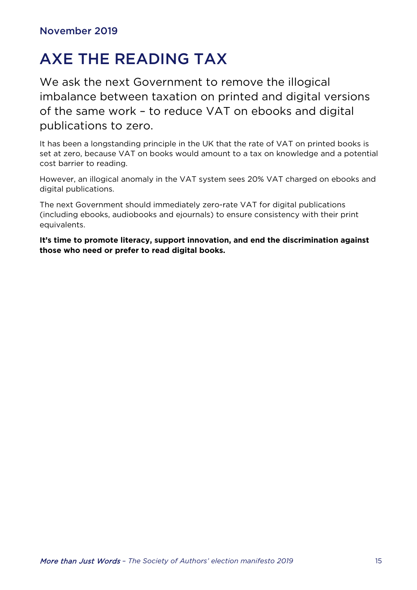# AXE THE READING TAX

We ask the next Government to remove the illogical imbalance between taxation on printed and digital versions of the same work – to reduce VAT on ebooks and digital publications to zero.

It has been a longstanding principle in the UK that the rate of VAT on printed books is set at zero, because VAT on books would amount to a tax on knowledge and a potential cost barrier to reading.

However, an illogical anomaly in the VAT system sees 20% VAT charged on ebooks and digital publications.

The next Government should immediately zero-rate VAT for digital publications (including ebooks, audiobooks and ejournals) to ensure consistency with their print equivalents.

**It's time to promote literacy, support innovation, and end the discrimination against those who need or prefer to read digital books.**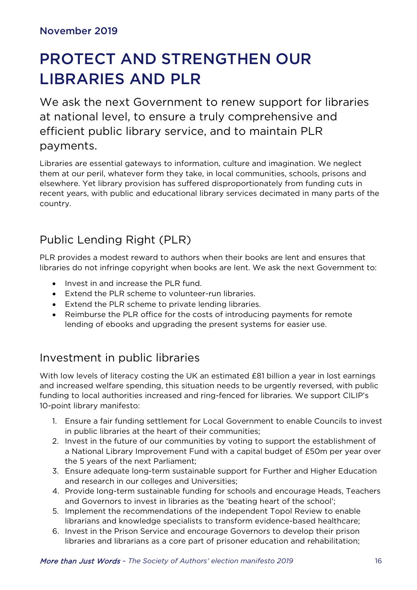# PROTECT AND STRENGTHEN OUR LIBRARIES AND PLR

We ask the next Government to renew support for libraries at national level, to ensure a truly comprehensive and efficient public library service, and to maintain PLR payments.

Libraries are essential gateways to information, culture and imagination. We neglect them at our peril, whatever form they take, in local communities, schools, prisons and elsewhere. Yet library provision has suffered disproportionately from funding cuts in recent years, with public and educational library services decimated in many parts of the country.

# Public Lending Right (PLR)

PLR provides a modest reward to authors when their books are lent and ensures that libraries do not infringe copyright when books are lent. We ask the next Government to:

- Invest in and increase the PLR fund.
- Extend the PLR scheme to volunteer-run libraries.
- Extend the PLR scheme to private lending libraries.
- Reimburse the PLR office for the costs of introducing payments for remote lending of ebooks and upgrading the present systems for easier use.

### Investment in public libraries

With low levels of literacy costing the UK an estimated £81 billion a year in lost earnings and increased welfare spending, this situation needs to be urgently reversed, with public funding to local authorities increased and ring-fenced for libraries. We support CILIP's 10-point library manifesto:

- 1. Ensure a fair funding settlement for Local Government to enable Councils to invest in public libraries at the heart of their communities;
- 2. Invest in the future of our communities by voting to support the establishment of a National Library Improvement Fund with a capital budget of £50m per year over the 5 years of the next Parliament;
- 3. Ensure adequate long-term sustainable support for Further and Higher Education and research in our colleges and Universities;
- 4. Provide long-term sustainable funding for schools and encourage Heads, Teachers and Governors to invest in libraries as the 'beating heart of the school';
- 5. Implement the recommendations of the independent Topol Review to enable librarians and knowledge specialists to transform evidence-based healthcare;
- 6. Invest in the Prison Service and encourage Governors to develop their prison libraries and librarians as a core part of prisoner education and rehabilitation;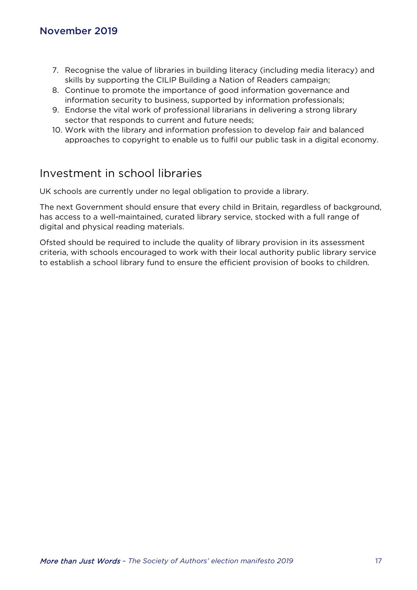- 7. Recognise the value of libraries in building literacy (including media literacy) and skills by supporting the CILIP Building a Nation of Readers campaign;
- 8. Continue to promote the importance of good information governance and information security to business, supported by information professionals;
- 9. Endorse the vital work of professional librarians in delivering a strong library sector that responds to current and future needs;
- 10. Work with the library and information profession to develop fair and balanced approaches to copyright to enable us to fulfil our public task in a digital economy.

### Investment in school libraries

UK schools are currently under no legal obligation to provide a library.

The next Government should ensure that every child in Britain, regardless of background, has access to a well-maintained, curated library service, stocked with a full range of digital and physical reading materials.

Ofsted should be required to include the quality of library provision in its assessment criteria, with schools encouraged to work with their local authority public library service to establish a school library fund to ensure the efficient provision of books to children.